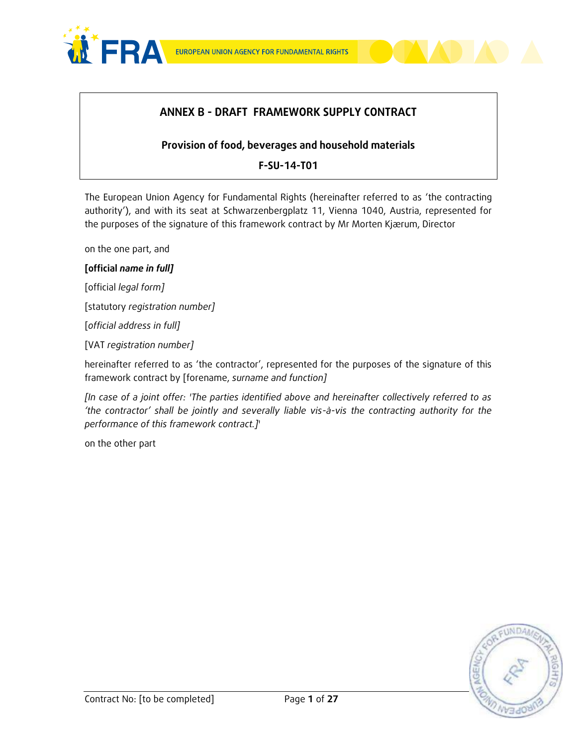



### **ANNEX B - DRAFT FRAMEWORK SUPPLY CONTRACT**

### **Provision of food, beverages and household materials**

### **F-SU-14-T01**

The European Union Agency for Fundamental Rights (hereinafter referred to as 'the contracting authority'), and with its seat at Schwarzenbergplatz 11, Vienna 1040, Austria, represented for the purposes of the signature of this framework contract by Mr Morten Kjærum, Director

on the one part, and

#### **[official** *name in full]*

[official *legal form]*

[statutory *registration number]*

[*official address in full]* 

[VAT *registration number]*

hereinafter referred to as 'the contractor', represented for the purposes of the signature of this framework contract by [forename, *surname and function]*

*[In case of a joint offer: 'The parties identified above and hereinafter collectively referred to as 'the contractor' shall be jointly and severally liable vis-à-vis the contracting authority for the performance of this framework contract.]*'

on the other part

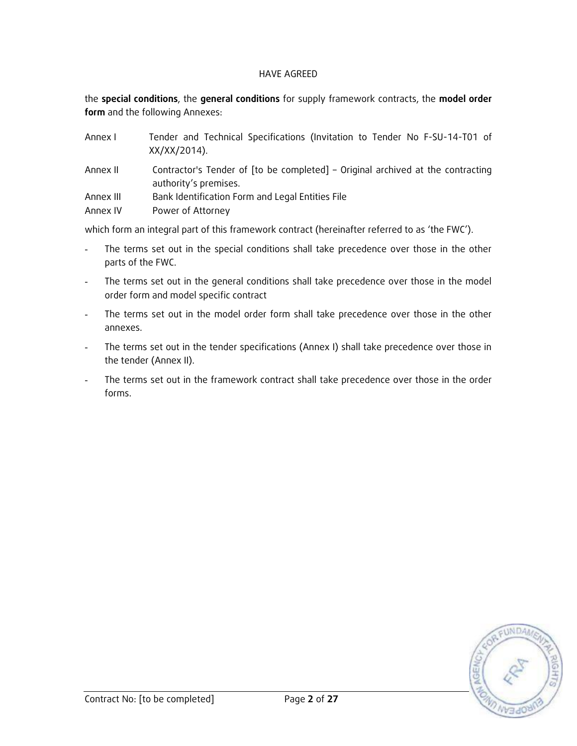#### HAVE AGREED

the **special conditions**, the **general conditions** for supply framework contracts, the **model order form** and the following Annexes:

| Annex I   | Tender and Technical Specifications (Invitation to Tender No F-SU-14-T01 of<br>XX/XX/2014).              |
|-----------|----------------------------------------------------------------------------------------------------------|
| Annex II  | Contractor's Tender of [to be completed] – Original archived at the contracting<br>authority's premises. |
| Annex III | Bank Identification Form and Legal Entities File                                                         |
| Annex IV  | Power of Attorney                                                                                        |

which form an integral part of this framework contract (hereinafter referred to as 'the FWC').

- The terms set out in the special conditions shall take precedence over those in the other parts of the FWC.
- The terms set out in the general conditions shall take precedence over those in the model order form and model specific contract
- The terms set out in the model order form shall take precedence over those in the other annexes.
- The terms set out in the tender specifications (Annex I) shall take precedence over those in the tender (Annex II).
- The terms set out in the framework contract shall take precedence over those in the order forms.

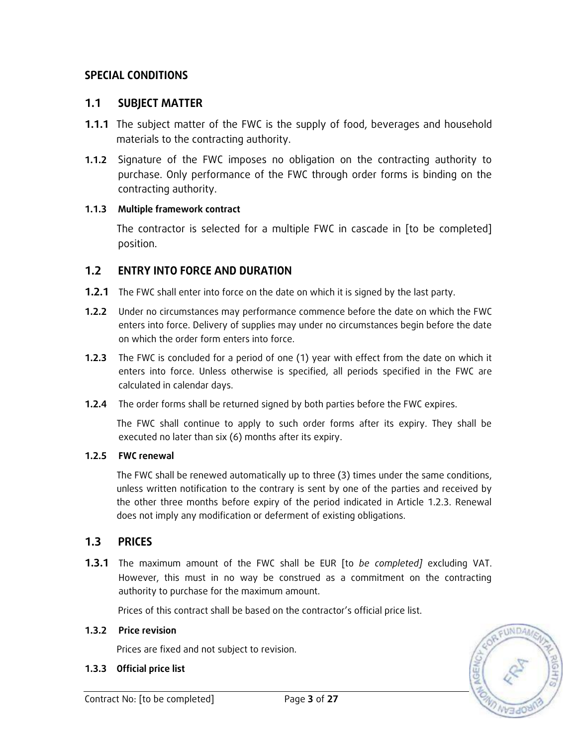## **SPECIAL CONDITIONS**

### **1.1 SUBJECT MATTER**

- **1.1.1** The subject matter of the FWC is the supply of food, beverages and household materials to the contracting authority.
- **1.1.2** Signature of the FWC imposes no obligation on the contracting authority to purchase. Only performance of the FWC through order forms is binding on the contracting authority.

### **1.1.3 Multiple framework contract**

The contractor is selected for a multiple FWC in cascade in [to be completed] position.

### **1.2 ENTRY INTO FORCE AND DURATION**

- **1.2.1** The FWC shall enter into force on the date on which it is signed by the last party.
- **1.2.2** Under no circumstances may performance commence before the date on which the FWC enters into force. Delivery of supplies may under no circumstances begin before the date on which the order form enters into force.
- **1.2.3** The FWC is concluded for a period of one (1) year with effect from the date on which it enters into force. Unless otherwise is specified, all periods specified in the FWC are calculated in calendar days.
- **1.2.4** The order forms shall be returned signed by both parties before the FWC expires.

The FWC shall continue to apply to such order forms after its expiry. They shall be executed no later than six (6) months after its expiry.

### **1.2.5 FWC renewal**

The FWC shall be renewed automatically up to three (3) times under the same conditions, unless written notification to the contrary is sent by one of the parties and received by the other three months before expiry of the period indicated in Article 1.2.3. Renewal does not imply any modification or deferment of existing obligations.

### **1.3 PRICES**

**1.3.1** The maximum amount of the FWC shall be EUR [to *be completed]* excluding VAT. However, this must in no way be construed as a commitment on the contracting authority to purchase for the maximum amount.

Prices of this contract shall be based on the contractor's official price list.

#### **1.3.2 Price revision**

Prices are fixed and not subject to revision.

#### **1.3.3 Official price list**

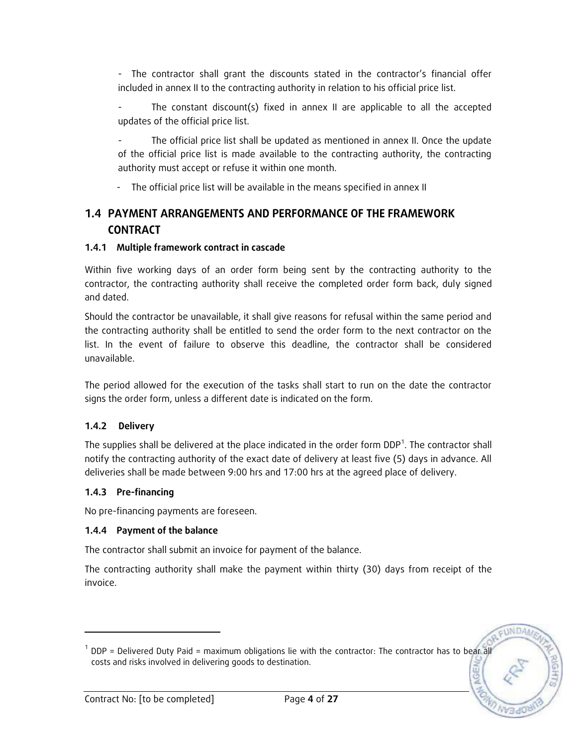- The contractor shall grant the discounts stated in the contractor's financial offer included in annex II to the contracting authority in relation to his official price list.

The constant discount(s) fixed in annex II are applicable to all the accepted updates of the official price list.

The official price list shall be updated as mentioned in annex II. Once the update of the official price list is made available to the contracting authority, the contracting authority must accept or refuse it within one month.

- The official price list will be available in the means specified in annex II

# **1.4 PAYMENT ARRANGEMENTS AND PERFORMANCE OF THE FRAMEWORK CONTRACT**

### **1.4.1 Multiple framework contract in cascade**

Within five working days of an order form being sent by the contracting authority to the contractor, the contracting authority shall receive the completed order form back, duly signed and dated.

Should the contractor be unavailable, it shall give reasons for refusal within the same period and the contracting authority shall be entitled to send the order form to the next contractor on the list. In the event of failure to observe this deadline, the contractor shall be considered unavailable.

The period allowed for the execution of the tasks shall start to run on the date the contractor signs the order form, unless a different date is indicated on the form.

### **1.4.2 Delivery**

The supplies shall be delivered at the place indicated in the order form  $DDP<sup>1</sup>$ . The contractor shall notify the contracting authority of the exact date of delivery at least five (5) days in advance. All deliveries shall be made between 9:00 hrs and 17:00 hrs at the agreed place of delivery.

### **1.4.3 Pre-financing**

-

No pre-financing payments are foreseen.

### **1.4.4 Payment of the balance**

The contractor shall submit an invoice for payment of the balance.

The contracting authority shall make the payment within thirty (30) days from receipt of the invoice.

 $1$  DDP = Delivered Duty Paid = maximum obligations lie with the contractor: The contractor has to bear all costs and risks involved in delivering goods to destination.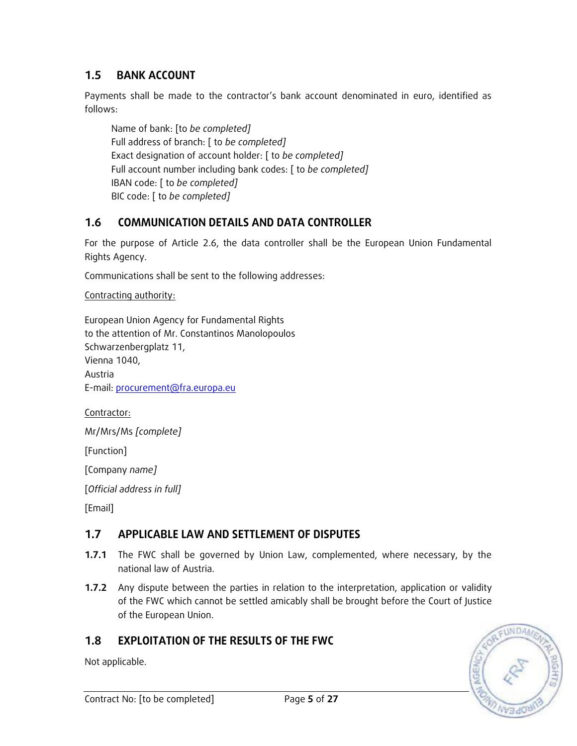# **1.5 BANK ACCOUNT**

Payments shall be made to the contractor's bank account denominated in euro, identified as follows:

Name of bank: [to *be completed]* Full address of branch: [ to *be completed]* Exact designation of account holder: [ to *be completed]* Full account number including bank codes: [ to *be completed]* IBAN code: [ to *be completed]* BIC code: [ to *be completed]*

# **1.6 COMMUNICATION DETAILS AND DATA CONTROLLER**

For the purpose of Article 2.6, the data controller shall be the European Union Fundamental Rights Agency.

Communications shall be sent to the following addresses:

Contracting authority:

European Union Agency for Fundamental Rights to the attention of Mr. Constantinos Manolopoulos Schwarzenbergplatz 11, Vienna 1040, Austria E-mail: [procurement@fra.europa.eu](mailto:procurement@fra.europa.eu)

Contractor:

Mr/Mrs/Ms *[complete]*

[Function]

[Company *name]*

[*Official address in full]*

[Email]

# **1.7 APPLICABLE LAW AND SETTLEMENT OF DISPUTES**

- **1.7.1** The FWC shall be governed by Union Law, complemented, where necessary, by the national law of Austria.
- **1.7.2** Any dispute between the parties in relation to the interpretation, application or validity of the FWC which cannot be settled amicably shall be brought before the Court of Justice of the European Union.

# **1.8 EXPLOITATION OF THE RESULTS OF THE FWC**

Not applicable.

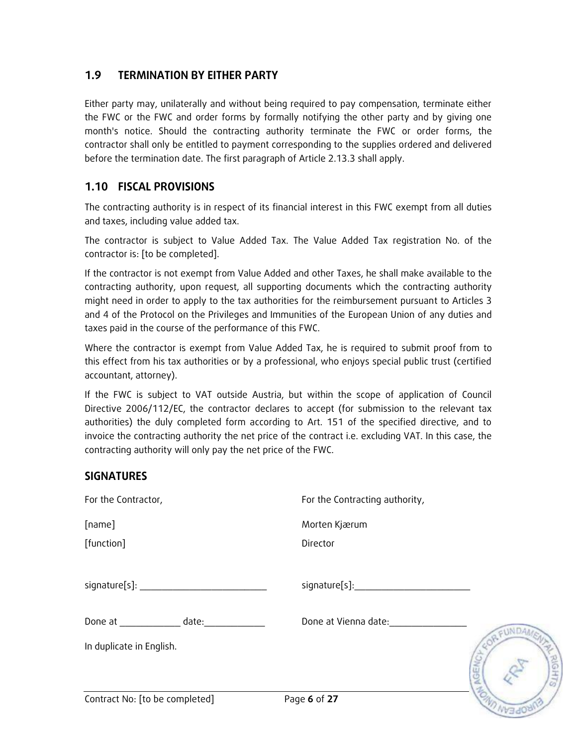### **1.9 TERMINATION BY EITHER PARTY**

Either party may, unilaterally and without being required to pay compensation, terminate either the FWC or the FWC and order forms by formally notifying the other party and by giving one month's notice. Should the contracting authority terminate the FWC or order forms, the contractor shall only be entitled to payment corresponding to the supplies ordered and delivered before the termination date. The first paragraph of Article 2.13.3 shall apply.

# **1.10 FISCAL PROVISIONS**

The contracting authority is in respect of its financial interest in this FWC exempt from all duties and taxes, including value added tax.

The contractor is subject to Value Added Tax. The Value Added Tax registration No. of the contractor is: [to be completed].

If the contractor is not exempt from Value Added and other Taxes, he shall make available to the contracting authority, upon request, all supporting documents which the contracting authority might need in order to apply to the tax authorities for the reimbursement pursuant to Articles 3 and 4 of the Protocol on the Privileges and Immunities of the European Union of any duties and taxes paid in the course of the performance of this FWC.

Where the contractor is exempt from Value Added Tax, he is required to submit proof from to this effect from his tax authorities or by a professional, who enjoys special public trust (certified accountant, attorney).

If the FWC is subject to VAT outside Austria, but within the scope of application of Council Directive 2006/112/EC, the contractor declares to accept (for submission to the relevant tax authorities) the duly completed form according to Art. 151 of the specified directive, and to invoice the contracting authority the net price of the contract i.e. excluding VAT. In this case, the contracting authority will only pay the net price of the FWC.

### **SIGNATURES**

| For the Contractor,            | For the Contracting authority,  |  |  |  |  |  |  |
|--------------------------------|---------------------------------|--|--|--|--|--|--|
| [name]                         | Morten Kjærum                   |  |  |  |  |  |  |
| [function]                     | Director                        |  |  |  |  |  |  |
|                                | signature[s]: www.assetting.com |  |  |  |  |  |  |
| Done at date:                  | Done at Vienna date:            |  |  |  |  |  |  |
| In duplicate in English.       |                                 |  |  |  |  |  |  |
|                                |                                 |  |  |  |  |  |  |
| Contract No: [to be completed] | Page 6 of 27                    |  |  |  |  |  |  |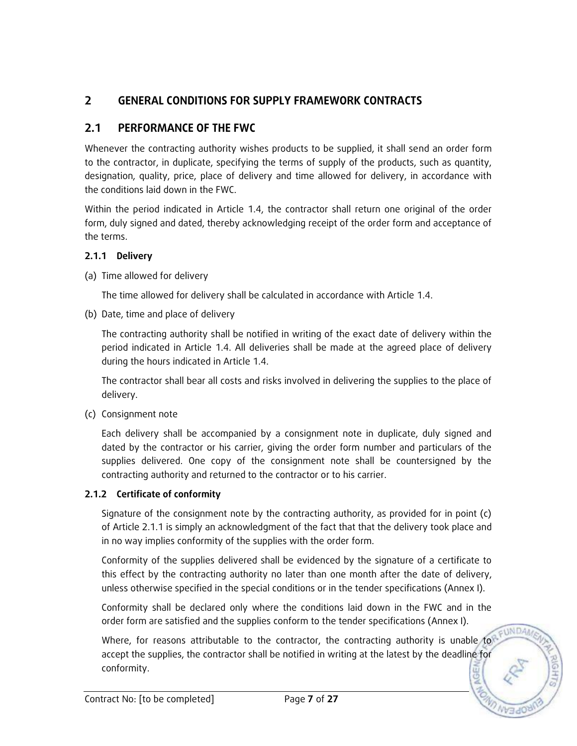# **2 GENERAL CONDITIONS FOR SUPPLY FRAMEWORK CONTRACTS**

# **2.1 PERFORMANCE OF THE FWC**

Whenever the contracting authority wishes products to be supplied, it shall send an order form to the contractor, in duplicate, specifying the terms of supply of the products, such as quantity, designation, quality, price, place of delivery and time allowed for delivery, in accordance with the conditions laid down in the FWC.

Within the period indicated in Article 1.4, the contractor shall return one original of the order form, duly signed and dated, thereby acknowledging receipt of the order form and acceptance of the terms.

### **2.1.1 Delivery**

(a) Time allowed for delivery

The time allowed for delivery shall be calculated in accordance with Article 1.4.

(b) Date, time and place of delivery

The contracting authority shall be notified in writing of the exact date of delivery within the period indicated in Article 1.4. All deliveries shall be made at the agreed place of delivery during the hours indicated in Article 1.4.

The contractor shall bear all costs and risks involved in delivering the supplies to the place of delivery.

(c) Consignment note

Each delivery shall be accompanied by a consignment note in duplicate, duly signed and dated by the contractor or his carrier, giving the order form number and particulars of the supplies delivered. One copy of the consignment note shall be countersigned by the contracting authority and returned to the contractor or to his carrier.

### **2.1.2 Certificate of conformity**

Signature of the consignment note by the contracting authority, as provided for in point (c) of Article 2.1.1 is simply an acknowledgment of the fact that that the delivery took place and in no way implies conformity of the supplies with the order form.

Conformity of the supplies delivered shall be evidenced by the signature of a certificate to this effect by the contracting authority no later than one month after the date of delivery, unless otherwise specified in the special conditions or in the tender specifications (Annex I).

Conformity shall be declared only where the conditions laid down in the FWC and in the order form are satisfied and the supplies conform to the tender specifications (Annex I).

Where, for reasons attributable to the contractor, the contracting authority is unable to accept the supplies, the contractor shall be notified in writing at the latest by the deadline for conformity.

FUNDA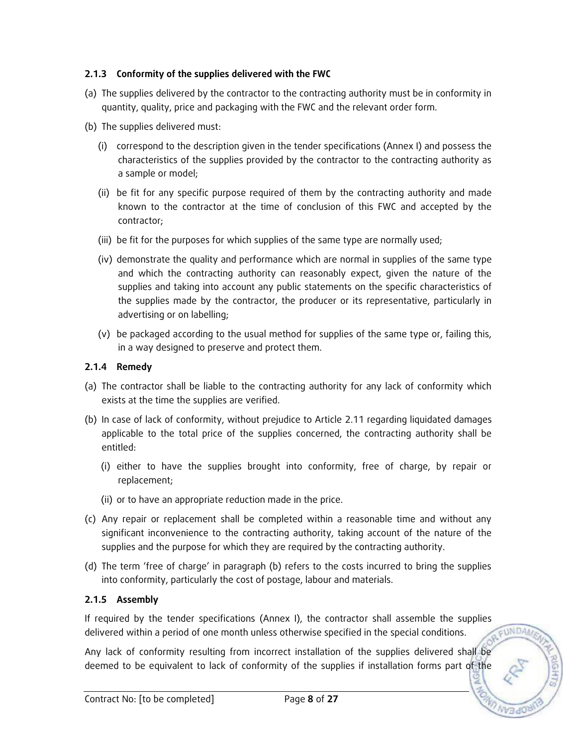### **2.1.3 Conformity of the supplies delivered with the FWC**

- (a) The supplies delivered by the contractor to the contracting authority must be in conformity in quantity, quality, price and packaging with the FWC and the relevant order form.
- (b) The supplies delivered must:
	- (i) correspond to the description given in the tender specifications (Annex I) and possess the characteristics of the supplies provided by the contractor to the contracting authority as a sample or model;
	- (ii) be fit for any specific purpose required of them by the contracting authority and made known to the contractor at the time of conclusion of this FWC and accepted by the contractor;
	- (iii) be fit for the purposes for which supplies of the same type are normally used;
	- (iv) demonstrate the quality and performance which are normal in supplies of the same type and which the contracting authority can reasonably expect, given the nature of the supplies and taking into account any public statements on the specific characteristics of the supplies made by the contractor, the producer or its representative, particularly in advertising or on labelling;
	- (v) be packaged according to the usual method for supplies of the same type or, failing this, in a way designed to preserve and protect them.

#### **2.1.4 Remedy**

- (a) The contractor shall be liable to the contracting authority for any lack of conformity which exists at the time the supplies are verified.
- (b) In case of lack of conformity, without prejudice to Article 2.11 regarding liquidated damages applicable to the total price of the supplies concerned, the contracting authority shall be entitled:
	- (i) either to have the supplies brought into conformity, free of charge, by repair or replacement;
	- (ii) or to have an appropriate reduction made in the price.
- (c) Any repair or replacement shall be completed within a reasonable time and without any significant inconvenience to the contracting authority, taking account of the nature of the supplies and the purpose for which they are required by the contracting authority.
- (d) The term 'free of charge' in paragraph (b) refers to the costs incurred to bring the supplies into conformity, particularly the cost of postage, labour and materials.

### **2.1.5 Assembly**

If required by the tender specifications (Annex I), the contractor shall assemble the supplies FUNDA delivered within a period of one month unless otherwise specified in the special conditions.

Any lack of conformity resulting from incorrect installation of the supplies delivered shall be deemed to be equivalent to lack of conformity of the supplies if installation forms part of the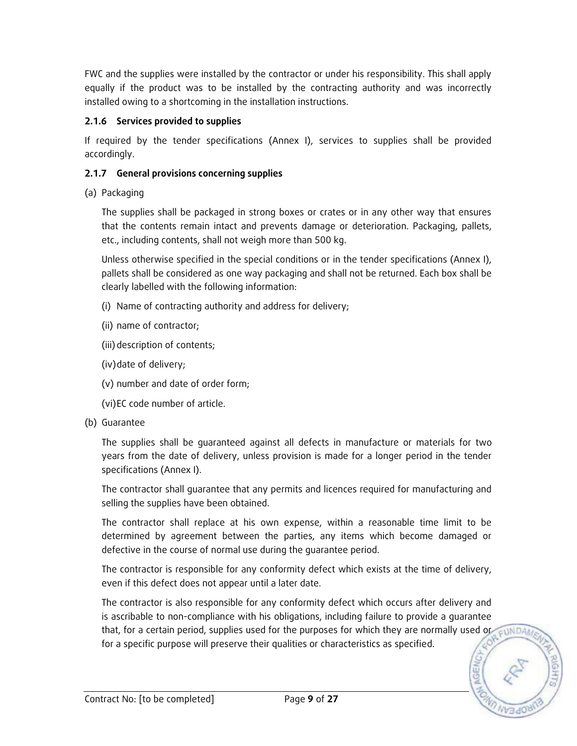FWC and the supplies were installed by the contractor or under his responsibility. This shall apply equally if the product was to be installed by the contracting authority and was incorrectly installed owing to a shortcoming in the installation instructions.

### **2.1.6 Services provided to supplies**

If required by the tender specifications (Annex I), services to supplies shall be provided accordingly.

### **2.1.7 General provisions concerning supplies**

(a) Packaging

The supplies shall be packaged in strong boxes or crates or in any other way that ensures that the contents remain intact and prevents damage or deterioration. Packaging, pallets, etc., including contents, shall not weigh more than 500 kg.

Unless otherwise specified in the special conditions or in the tender specifications (Annex I), pallets shall be considered as one way packaging and shall not be returned. Each box shall be clearly labelled with the following information:

- (i) Name of contracting authority and address for delivery;
- (ii) name of contractor;
- (iii) description of contents;
- (iv)date of delivery;
- (v) number and date of order form;
- (vi)EC code number of article.
- (b) Guarantee

The supplies shall be guaranteed against all defects in manufacture or materials for two years from the date of delivery, unless provision is made for a longer period in the tender specifications (Annex I).

The contractor shall guarantee that any permits and licences required for manufacturing and selling the supplies have been obtained.

The contractor shall replace at his own expense, within a reasonable time limit to be determined by agreement between the parties, any items which become damaged or defective in the course of normal use during the guarantee period.

The contractor is responsible for any conformity defect which exists at the time of delivery, even if this defect does not appear until a later date.

The contractor is also responsible for any conformity defect which occurs after delivery and is ascribable to non-compliance with his obligations, including failure to provide a guarantee that, for a certain period, supplies used for the purposes for which they are normally used or EUNDA for a specific purpose will preserve their qualities or characteristics as specified.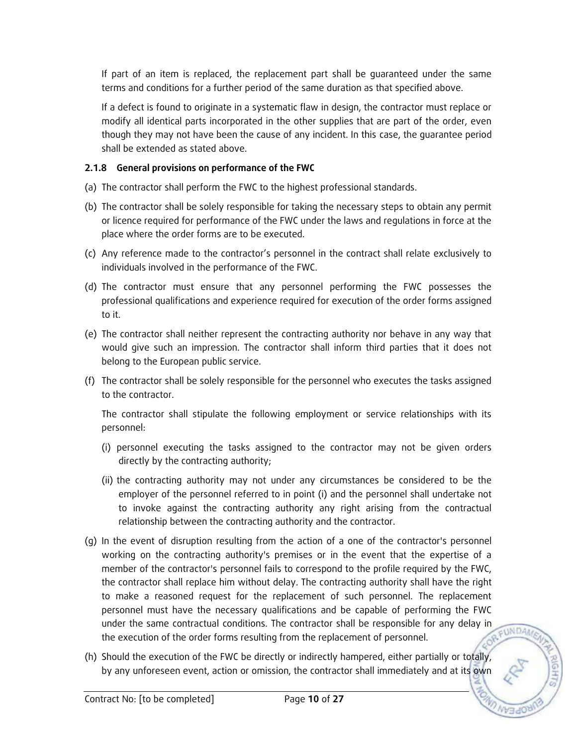If part of an item is replaced, the replacement part shall be guaranteed under the same terms and conditions for a further period of the same duration as that specified above.

If a defect is found to originate in a systematic flaw in design, the contractor must replace or modify all identical parts incorporated in the other supplies that are part of the order, even though they may not have been the cause of any incident. In this case, the guarantee period shall be extended as stated above.

### **2.1.8 General provisions on performance of the FWC**

- (a) The contractor shall perform the FWC to the highest professional standards.
- (b) The contractor shall be solely responsible for taking the necessary steps to obtain any permit or licence required for performance of the FWC under the laws and regulations in force at the place where the order forms are to be executed.
- (c) Any reference made to the contractor's personnel in the contract shall relate exclusively to individuals involved in the performance of the FWC.
- (d) The contractor must ensure that any personnel performing the FWC possesses the professional qualifications and experience required for execution of the order forms assigned to it.
- (e) The contractor shall neither represent the contracting authority nor behave in any way that would give such an impression. The contractor shall inform third parties that it does not belong to the European public service.
- (f) The contractor shall be solely responsible for the personnel who executes the tasks assigned to the contractor.

The contractor shall stipulate the following employment or service relationships with its personnel:

- (i) personnel executing the tasks assigned to the contractor may not be given orders directly by the contracting authority;
- (ii) the contracting authority may not under any circumstances be considered to be the employer of the personnel referred to in point (i) and the personnel shall undertake not to invoke against the contracting authority any right arising from the contractual relationship between the contracting authority and the contractor.
- (g) In the event of disruption resulting from the action of a one of the contractor's personnel working on the contracting authority's premises or in the event that the expertise of a member of the contractor's personnel fails to correspond to the profile required by the FWC, the contractor shall replace him without delay. The contracting authority shall have the right to make a reasoned request for the replacement of such personnel. The replacement personnel must have the necessary qualifications and be capable of performing the FWC under the same contractual conditions. The contractor shall be responsible for any delay in **FUNDAM** the execution of the order forms resulting from the replacement of personnel.
- (h) Should the execution of the FWC be directly or indirectly hampered, either partially or totally, by any unforeseen event, action or omission, the contractor shall immediately and at its own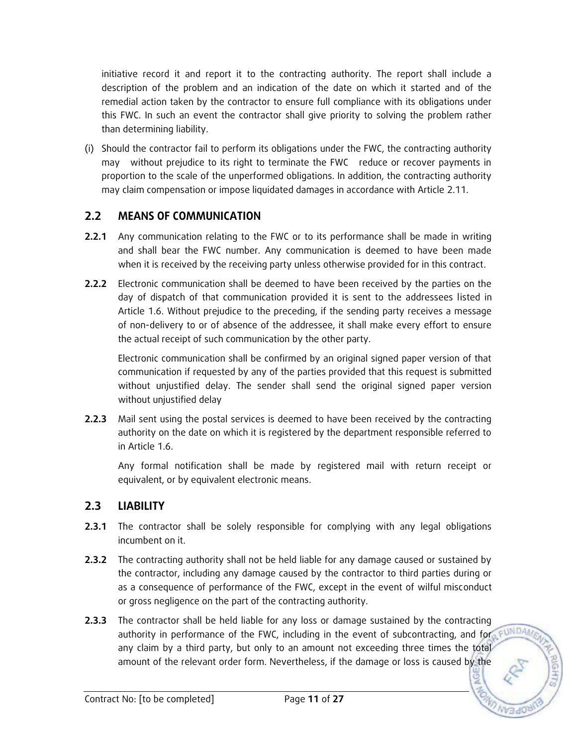initiative record it and report it to the contracting authority. The report shall include a description of the problem and an indication of the date on which it started and of the remedial action taken by the contractor to ensure full compliance with its obligations under this FWC. In such an event the contractor shall give priority to solving the problem rather than determining liability.

(i) Should the contractor fail to perform its obligations under the FWC, the contracting authority may without prejudice to its right to terminate the FWC reduce or recover payments in proportion to the scale of the unperformed obligations. In addition, the contracting authority may claim compensation or impose liquidated damages in accordance with Article 2.11.

# **2.2 MEANS OF COMMUNICATION**

- **2.2.1** Any communication relating to the FWC or to its performance shall be made in writing and shall bear the FWC number. Any communication is deemed to have been made when it is received by the receiving party unless otherwise provided for in this contract.
- **2.2.2** Electronic communication shall be deemed to have been received by the parties on the day of dispatch of that communication provided it is sent to the addressees listed in Article 1.6. Without prejudice to the preceding, if the sending party receives a message of non-delivery to or of absence of the addressee, it shall make every effort to ensure the actual receipt of such communication by the other party.

Electronic communication shall be confirmed by an original signed paper version of that communication if requested by any of the parties provided that this request is submitted without unjustified delay. The sender shall send the original signed paper version without unjustified delay

**2.2.3** Mail sent using the postal services is deemed to have been received by the contracting authority on the date on which it is registered by the department responsible referred to in Article 1.6.

Any formal notification shall be made by registered mail with return receipt or equivalent, or by equivalent electronic means.

# **2.3 LIABILITY**

- **2.3.1** The contractor shall be solely responsible for complying with any legal obligations incumbent on it.
- **2.3.2** The contracting authority shall not be held liable for any damage caused or sustained by the contractor, including any damage caused by the contractor to third parties during or as a consequence of performance of the FWC, except in the event of wilful misconduct or gross negligence on the part of the contracting authority.
- **2.3.3** The contractor shall be held liable for any loss or damage sustained by the contracting authority in performance of the FWC, including in the event of subcontracting, and for FUNDA any claim by a third party, but only to an amount not exceeding three times the total amount of the relevant order form. Nevertheless, if the damage or loss is caused by the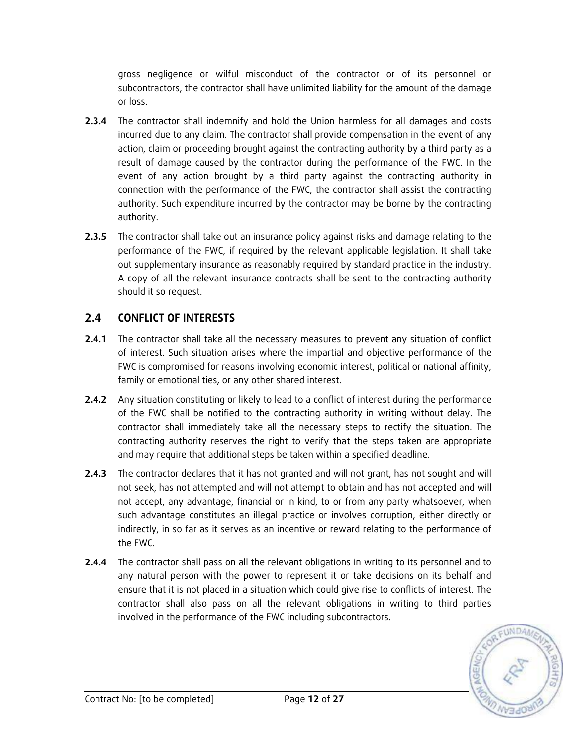gross negligence or wilful misconduct of the contractor or of its personnel or subcontractors, the contractor shall have unlimited liability for the amount of the damage or loss.

- **2.3.4** The contractor shall indemnify and hold the Union harmless for all damages and costs incurred due to any claim. The contractor shall provide compensation in the event of any action, claim or proceeding brought against the contracting authority by a third party as a result of damage caused by the contractor during the performance of the FWC. In the event of any action brought by a third party against the contracting authority in connection with the performance of the FWC, the contractor shall assist the contracting authority. Such expenditure incurred by the contractor may be borne by the contracting authority.
- **2.3.5** The contractor shall take out an insurance policy against risks and damage relating to the performance of the FWC, if required by the relevant applicable legislation. It shall take out supplementary insurance as reasonably required by standard practice in the industry. A copy of all the relevant insurance contracts shall be sent to the contracting authority should it so request.

# **2.4 CONFLICT OF INTERESTS**

- **2.4.1** The contractor shall take all the necessary measures to prevent any situation of conflict of interest. Such situation arises where the impartial and objective performance of the FWC is compromised for reasons involving economic interest, political or national affinity, family or emotional ties, or any other shared interest.
- **2.4.2** Any situation constituting or likely to lead to a conflict of interest during the performance of the FWC shall be notified to the contracting authority in writing without delay. The contractor shall immediately take all the necessary steps to rectify the situation. The contracting authority reserves the right to verify that the steps taken are appropriate and may require that additional steps be taken within a specified deadline.
- **2.4.3** The contractor declares that it has not granted and will not grant, has not sought and will not seek, has not attempted and will not attempt to obtain and has not accepted and will not accept, any advantage, financial or in kind, to or from any party whatsoever, when such advantage constitutes an illegal practice or involves corruption, either directly or indirectly, in so far as it serves as an incentive or reward relating to the performance of the FWC.
- **2.4.4** The contractor shall pass on all the relevant obligations in writing to its personnel and to any natural person with the power to represent it or take decisions on its behalf and ensure that it is not placed in a situation which could give rise to conflicts of interest. The contractor shall also pass on all the relevant obligations in writing to third parties involved in the performance of the FWC including subcontractors.

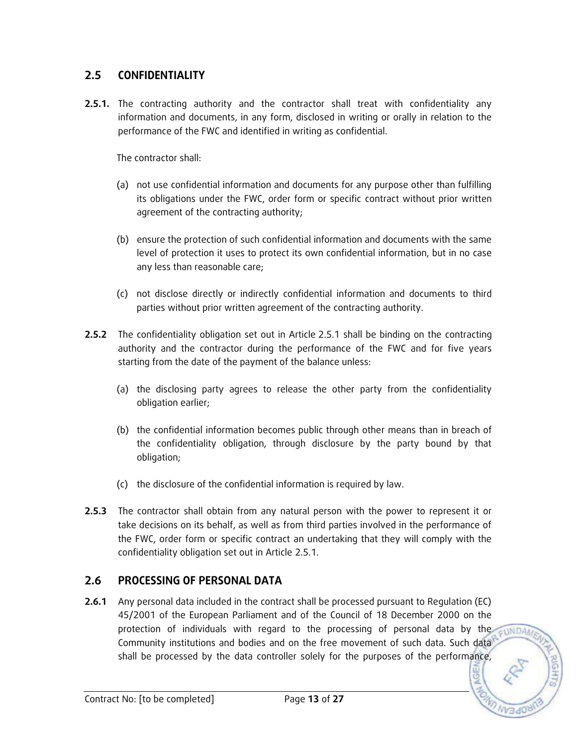## **2.5 CONFIDENTIALITY**

**2.5.1.** The contracting authority and the contractor shall treat with confidentiality any information and documents, in any form, disclosed in writing or orally in relation to the performance of the FWC and identified in writing as confidential.

The contractor shall:

- (a) not use confidential information and documents for any purpose other than fulfilling its obligations under the FWC, order form or specific contract without prior written agreement of the contracting authority;
- (b) ensure the protection of such confidential information and documents with the same level of protection it uses to protect its own confidential information, but in no case any less than reasonable care;
- (c) not disclose directly or indirectly confidential information and documents to third parties without prior written agreement of the contracting authority.
- **2.5.2** The confidentiality obligation set out in Article 2.5.1 shall be binding on the contracting authority and the contractor during the performance of the FWC and for five years starting from the date of the payment of the balance unless:
	- (a) the disclosing party agrees to release the other party from the confidentiality obligation earlier;
	- (b) the confidential information becomes public through other means than in breach of the confidentiality obligation, through disclosure by the party bound by that obligation;
	- (c) the disclosure of the confidential information is required by law.
- **2.5.3** The contractor shall obtain from any natural person with the power to represent it or take decisions on its behalf, as well as from third parties involved in the performance of the FWC, order form or specific contract an undertaking that they will comply with the confidentiality obligation set out in Article 2.5.1.

### **2.6 PROCESSING OF PERSONAL DATA**

**2.6.1** Any personal data included in the contract shall be processed pursuant to Regulation (EC) 45/2001 of the European Parliament and of the Council of 18 December 2000 on the protection of individuals with regard to the processing of personal data by the cuning Community institutions and bodies and on the free movement of such data. Such data shall be processed by the data controller solely for the purposes of the performance,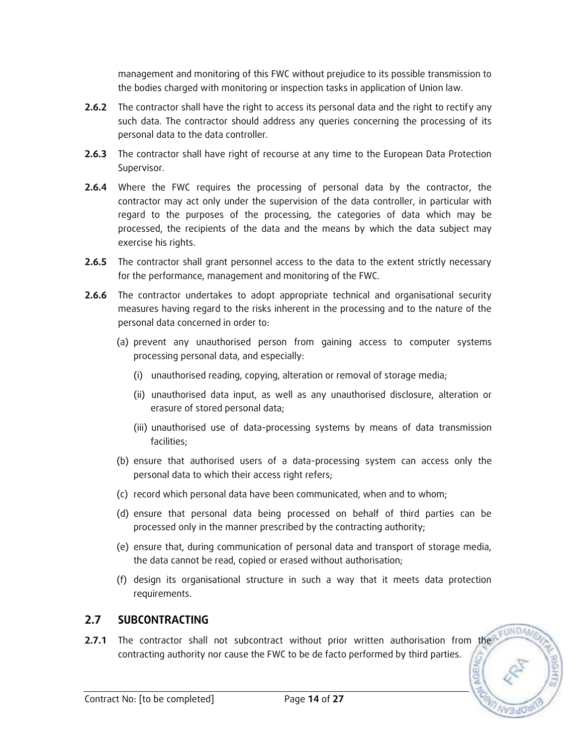management and monitoring of this FWC without prejudice to its possible transmission to the bodies charged with monitoring or inspection tasks in application of Union law.

- **2.6.2** The contractor shall have the right to access its personal data and the right to rectify any such data. The contractor should address any queries concerning the processing of its personal data to the data controller.
- **2.6.3** The contractor shall have right of recourse at any time to the European Data Protection Supervisor.
- **2.6.4** Where the FWC requires the processing of personal data by the contractor, the contractor may act only under the supervision of the data controller, in particular with regard to the purposes of the processing, the categories of data which may be processed, the recipients of the data and the means by which the data subject may exercise his rights.
- **2.6.5** The contractor shall grant personnel access to the data to the extent strictly necessary for the performance, management and monitoring of the FWC.
- **2.6.6** The contractor undertakes to adopt appropriate technical and organisational security measures having regard to the risks inherent in the processing and to the nature of the personal data concerned in order to:
	- (a) prevent any unauthorised person from gaining access to computer systems processing personal data, and especially:
		- (i) unauthorised reading, copying, alteration or removal of storage media;
		- (ii) unauthorised data input, as well as any unauthorised disclosure, alteration or erasure of stored personal data;
		- (iii) unauthorised use of data-processing systems by means of data transmission facilities;
	- (b) ensure that authorised users of a data-processing system can access only the personal data to which their access right refers;
	- (c) record which personal data have been communicated, when and to whom;
	- (d) ensure that personal data being processed on behalf of third parties can be processed only in the manner prescribed by the contracting authority;
	- (e) ensure that, during communication of personal data and transport of storage media, the data cannot be read, copied or erased without authorisation;
	- (f) design its organisational structure in such a way that it meets data protection requirements.

### **2.7 SUBCONTRACTING**

**2.7.1** The contractor shall not subcontract without prior written authorisation from the contracting authority nor cause the FWC to be de facto performed by third parties.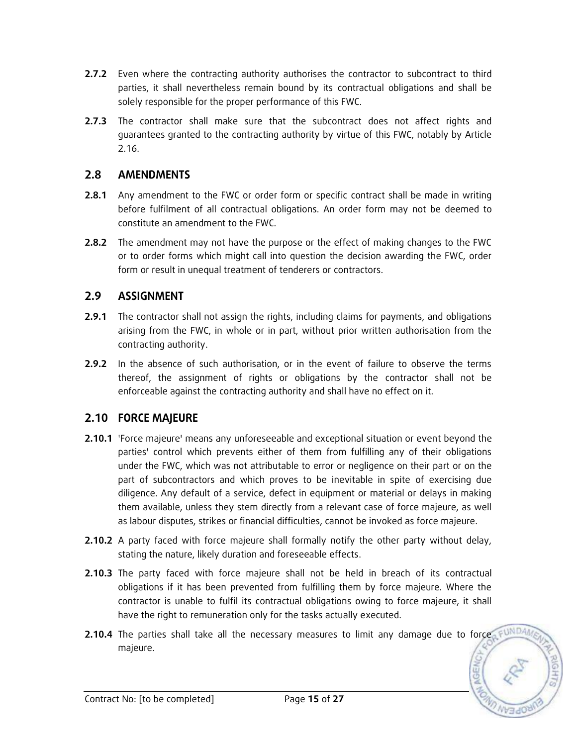- **2.7.2** Even where the contracting authority authorises the contractor to subcontract to third parties, it shall nevertheless remain bound by its contractual obligations and shall be solely responsible for the proper performance of this FWC.
- **2.7.3** The contractor shall make sure that the subcontract does not affect rights and guarantees granted to the contracting authority by virtue of this FWC, notably by Article 2.16.

# **2.8 AMENDMENTS**

- **2.8.1** Any amendment to the FWC or order form or specific contract shall be made in writing before fulfilment of all contractual obligations. An order form may not be deemed to constitute an amendment to the FWC.
- **2.8.2** The amendment may not have the purpose or the effect of making changes to the FWC or to order forms which might call into question the decision awarding the FWC, order form or result in unequal treatment of tenderers or contractors.

# **2.9 ASSIGNMENT**

- **2.9.1** The contractor shall not assign the rights, including claims for payments, and obligations arising from the FWC, in whole or in part, without prior written authorisation from the contracting authority.
- **2.9.2** In the absence of such authorisation, or in the event of failure to observe the terms thereof, the assignment of rights or obligations by the contractor shall not be enforceable against the contracting authority and shall have no effect on it.

# **2.10 FORCE MAJEURE**

- **2.10.1** 'Force majeure' means any unforeseeable and exceptional situation or event beyond the parties' control which prevents either of them from fulfilling any of their obligations under the FWC, which was not attributable to error or negligence on their part or on the part of subcontractors and which proves to be inevitable in spite of exercising due diligence. Any default of a service, defect in equipment or material or delays in making them available, unless they stem directly from a relevant case of force majeure, as well as labour disputes, strikes or financial difficulties, cannot be invoked as force majeure.
- **2.10.2** A party faced with force majeure shall formally notify the other party without delay, stating the nature, likely duration and foreseeable effects.
- **2.10.3** The party faced with force majeure shall not be held in breach of its contractual obligations if it has been prevented from fulfilling them by force majeure. Where the contractor is unable to fulfil its contractual obligations owing to force majeure, it shall have the right to remuneration only for the tasks actually executed.
- **2.10.4** The parties shall take all the necessary measures to limit any damage due to force FUNDA majeure.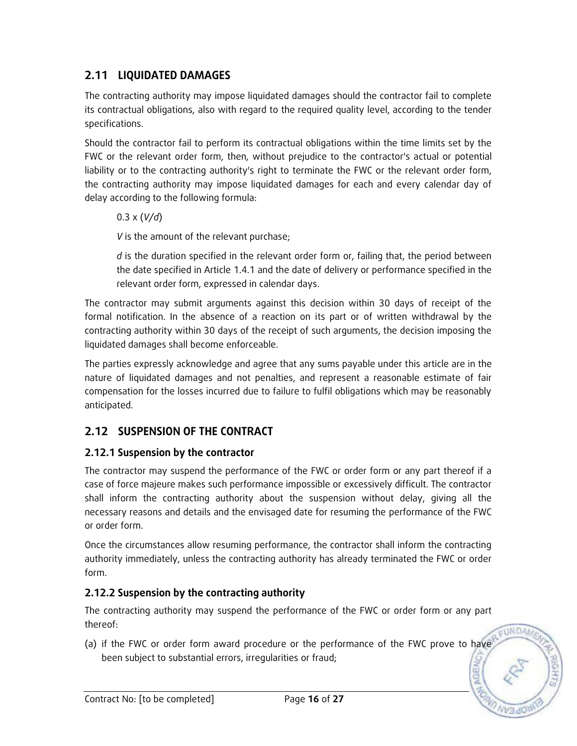# **2.11 LIQUIDATED DAMAGES**

The contracting authority may impose liquidated damages should the contractor fail to complete its contractual obligations, also with regard to the required quality level, according to the tender specifications.

Should the contractor fail to perform its contractual obligations within the time limits set by the FWC or the relevant order form, then, without prejudice to the contractor's actual or potential liability or to the contracting authority's right to terminate the FWC or the relevant order form, the contracting authority may impose liquidated damages for each and every calendar day of delay according to the following formula:

0.3 x (*V/d*)

*V* is the amount of the relevant purchase;

*d* is the duration specified in the relevant order form or, failing that, the period between the date specified in Article 1.4.1 and the date of delivery or performance specified in the relevant order form, expressed in calendar days.

The contractor may submit arguments against this decision within 30 days of receipt of the formal notification. In the absence of a reaction on its part or of written withdrawal by the contracting authority within 30 days of the receipt of such arguments, the decision imposing the liquidated damages shall become enforceable.

The parties expressly acknowledge and agree that any sums payable under this article are in the nature of liquidated damages and not penalties, and represent a reasonable estimate of fair compensation for the losses incurred due to failure to fulfil obligations which may be reasonably anticipated.

# **2.12 SUSPENSION OF THE CONTRACT**

# **2.12.1 Suspension by the contractor**

The contractor may suspend the performance of the FWC or order form or any part thereof if a case of force majeure makes such performance impossible or excessively difficult. The contractor shall inform the contracting authority about the suspension without delay, giving all the necessary reasons and details and the envisaged date for resuming the performance of the FWC or order form.

Once the circumstances allow resuming performance, the contractor shall inform the contracting authority immediately, unless the contracting authority has already terminated the FWC or order form.

# **2.12.2 Suspension by the contracting authority**

The contracting authority may suspend the performance of the FWC or order form or any part thereof:

(a) if the FWC or order form award procedure or the performance of the FWC prove to have been subject to substantial errors, irregularities or fraud;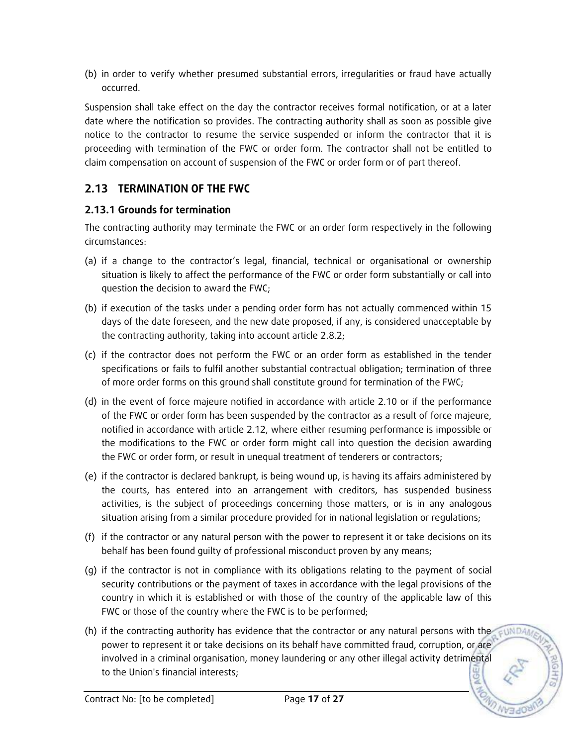(b) in order to verify whether presumed substantial errors, irregularities or fraud have actually occurred.

Suspension shall take effect on the day the contractor receives formal notification, or at a later date where the notification so provides. The contracting authority shall as soon as possible give notice to the contractor to resume the service suspended or inform the contractor that it is proceeding with termination of the FWC or order form. The contractor shall not be entitled to claim compensation on account of suspension of the FWC or order form or of part thereof.

# **2.13 TERMINATION OF THE FWC**

## **2.13.1 Grounds for termination**

The contracting authority may terminate the FWC or an order form respectively in the following circumstances:

- (a) if a change to the contractor's legal, financial, technical or organisational or ownership situation is likely to affect the performance of the FWC or order form substantially or call into question the decision to award the FWC;
- (b) if execution of the tasks under a pending order form has not actually commenced within 15 days of the date foreseen, and the new date proposed, if any, is considered unacceptable by the contracting authority, taking into account article 2.8.2;
- (c) if the contractor does not perform the FWC or an order form as established in the tender specifications or fails to fulfil another substantial contractual obligation; termination of three of more order forms on this ground shall constitute ground for termination of the FWC;
- (d) in the event of force majeure notified in accordance with article 2.10 or if the performance of the FWC or order form has been suspended by the contractor as a result of force majeure, notified in accordance with article 2.12, where either resuming performance is impossible or the modifications to the FWC or order form might call into question the decision awarding the FWC or order form, or result in unequal treatment of tenderers or contractors;
- (e) if the contractor is declared bankrupt, is being wound up, is having its affairs administered by the courts, has entered into an arrangement with creditors, has suspended business activities, is the subject of proceedings concerning those matters, or is in any analogous situation arising from a similar procedure provided for in national legislation or regulations;
- (f) if the contractor or any natural person with the power to represent it or take decisions on its behalf has been found guilty of professional misconduct proven by any means;
- (g) if the contractor is not in compliance with its obligations relating to the payment of social security contributions or the payment of taxes in accordance with the legal provisions of the country in which it is established or with those of the country of the applicable law of this FWC or those of the country where the FWC is to be performed;
- (h) if the contracting authority has evidence that the contractor or any natural persons with the power to represent it or take decisions on its behalf have committed fraud, corruption, or are involved in a criminal organisation, money laundering or any other illegal activity detrimental to the Union's financial interests;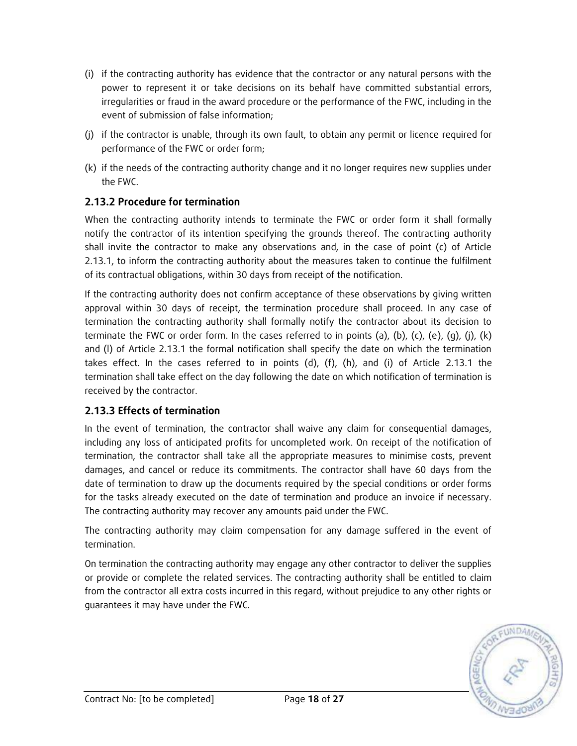- (i) if the contracting authority has evidence that the contractor or any natural persons with the power to represent it or take decisions on its behalf have committed substantial errors, irregularities or fraud in the award procedure or the performance of the FWC, including in the event of submission of false information;
- (j) if the contractor is unable, through its own fault, to obtain any permit or licence required for performance of the FWC or order form;
- (k) if the needs of the contracting authority change and it no longer requires new supplies under the FWC.

## **2.13.2 Procedure for termination**

When the contracting authority intends to terminate the FWC or order form it shall formally notify the contractor of its intention specifying the grounds thereof. The contracting authority shall invite the contractor to make any observations and, in the case of point (c) of Article 2.13.1, to inform the contracting authority about the measures taken to continue the fulfilment of its contractual obligations, within 30 days from receipt of the notification.

If the contracting authority does not confirm acceptance of these observations by giving written approval within 30 days of receipt, the termination procedure shall proceed. In any case of termination the contracting authority shall formally notify the contractor about its decision to terminate the FWC or order form. In the cases referred to in points (a), (b), (c), (e), (q), (j), (k) and (l) of Article 2.13.1 the formal notification shall specify the date on which the termination takes effect. In the cases referred to in points  $(d)$ ,  $(f)$ ,  $(h)$ , and  $(i)$  of Article 2.13.1 the termination shall take effect on the day following the date on which notification of termination is received by the contractor.

### **2.13.3 Effects of termination**

In the event of termination, the contractor shall waive any claim for consequential damages, including any loss of anticipated profits for uncompleted work. On receipt of the notification of termination, the contractor shall take all the appropriate measures to minimise costs, prevent damages, and cancel or reduce its commitments. The contractor shall have 60 days from the date of termination to draw up the documents required by the special conditions or order forms for the tasks already executed on the date of termination and produce an invoice if necessary. The contracting authority may recover any amounts paid under the FWC.

The contracting authority may claim compensation for any damage suffered in the event of termination.

On termination the contracting authority may engage any other contractor to deliver the supplies or provide or complete the related services. The contracting authority shall be entitled to claim from the contractor all extra costs incurred in this regard, without prejudice to any other rights or guarantees it may have under the FWC.

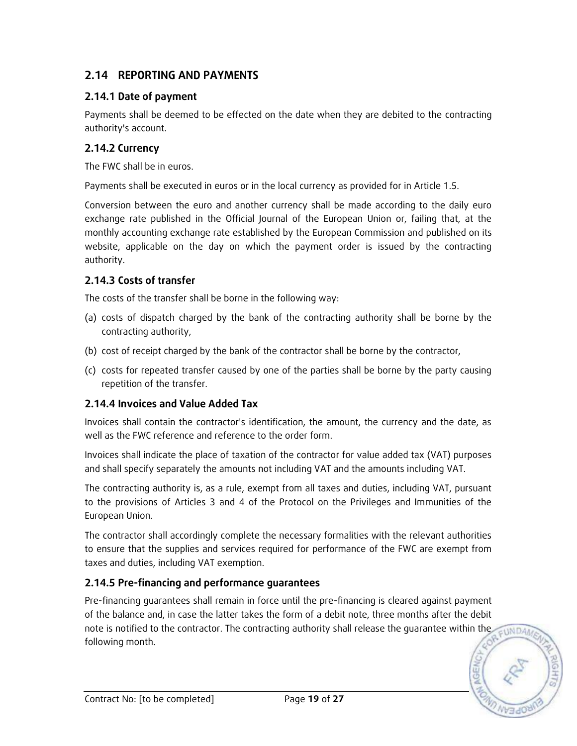# **2.14 REPORTING AND PAYMENTS**

# **2.14.1 Date of payment**

Payments shall be deemed to be effected on the date when they are debited to the contracting authority's account.

## **2.14.2 Currency**

The FWC shall be in euros.

Payments shall be executed in euros or in the local currency as provided for in Article 1.5.

Conversion between the euro and another currency shall be made according to the daily euro exchange rate published in the Official Journal of the European Union or, failing that, at the monthly accounting exchange rate established by the European Commission and published on its website, applicable on the day on which the payment order is issued by the contracting authority.

# **2.14.3 Costs of transfer**

The costs of the transfer shall be borne in the following way:

- (a) costs of dispatch charged by the bank of the contracting authority shall be borne by the contracting authority,
- (b) cost of receipt charged by the bank of the contractor shall be borne by the contractor,
- (c) costs for repeated transfer caused by one of the parties shall be borne by the party causing repetition of the transfer.

# **2.14.4 Invoices and Value Added Tax**

Invoices shall contain the contractor's identification, the amount, the currency and the date, as well as the FWC reference and reference to the order form.

Invoices shall indicate the place of taxation of the contractor for value added tax (VAT) purposes and shall specify separately the amounts not including VAT and the amounts including VAT.

The contracting authority is, as a rule, exempt from all taxes and duties, including VAT, pursuant to the provisions of Articles 3 and 4 of the Protocol on the Privileges and Immunities of the European Union.

The contractor shall accordingly complete the necessary formalities with the relevant authorities to ensure that the supplies and services required for performance of the FWC are exempt from taxes and duties, including VAT exemption.

# **2.14.5 Pre-financing and performance guarantees**

Pre-financing guarantees shall remain in force until the pre-financing is cleared against payment of the balance and, in case the latter takes the form of a debit note, three months after the debit note is notified to the contractor. The contracting authority shall release the guarantee within the following month.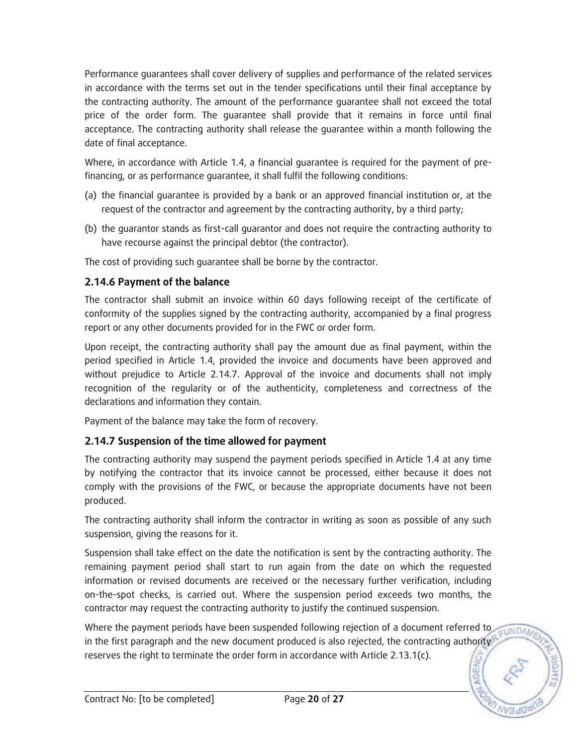Performance guarantees shall cover delivery of supplies and performance of the related services in accordance with the terms set out in the tender specifications until their final acceptance by the contracting authority. The amount of the performance guarantee shall not exceed the total price of the order form. The guarantee shall provide that it remains in force until final acceptance. The contracting authority shall release the guarantee within a month following the date of final acceptance.

Where, in accordance with Article 1.4, a financial guarantee is required for the payment of prefinancing, or as performance guarantee, it shall fulfil the following conditions:

- (a) the financial guarantee is provided by a bank or an approved financial institution or, at the request of the contractor and agreement by the contracting authority, by a third party;
- (b) the guarantor stands as first-call guarantor and does not require the contracting authority to have recourse against the principal debtor (the contractor).

The cost of providing such guarantee shall be borne by the contractor.

## **2.14.6 Payment of the balance**

The contractor shall submit an invoice within 60 days following receipt of the certificate of conformity of the supplies signed by the contracting authority, accompanied by a final progress report or any other documents provided for in the FWC or order form.

Upon receipt, the contracting authority shall pay the amount due as final payment, within the period specified in Article 1.4, provided the invoice and documents have been approved and without prejudice to Article 2.14.7. Approval of the invoice and documents shall not imply recognition of the regularity or of the authenticity, completeness and correctness of the declarations and information they contain.

Payment of the balance may take the form of recovery.

# **2.14.7 Suspension of the time allowed for payment**

The contracting authority may suspend the payment periods specified in Article 1.4 at any time by notifying the contractor that its invoice cannot be processed, either because it does not comply with the provisions of the FWC, or because the appropriate documents have not been produced.

The contracting authority shall inform the contractor in writing as soon as possible of any such suspension, giving the reasons for it.

Suspension shall take effect on the date the notification is sent by the contracting authority. The remaining payment period shall start to run again from the date on which the requested information or revised documents are received or the necessary further verification, including on-the-spot checks, is carried out. Where the suspension period exceeds two months, the contractor may request the contracting authority to justify the continued suspension.

Where the payment periods have been suspended following rejection of a document referred to **FUNDAM** in the first paragraph and the new document produced is also rejected, the contracting authority reserves the right to terminate the order form in accordance with Article 2.13.1(c).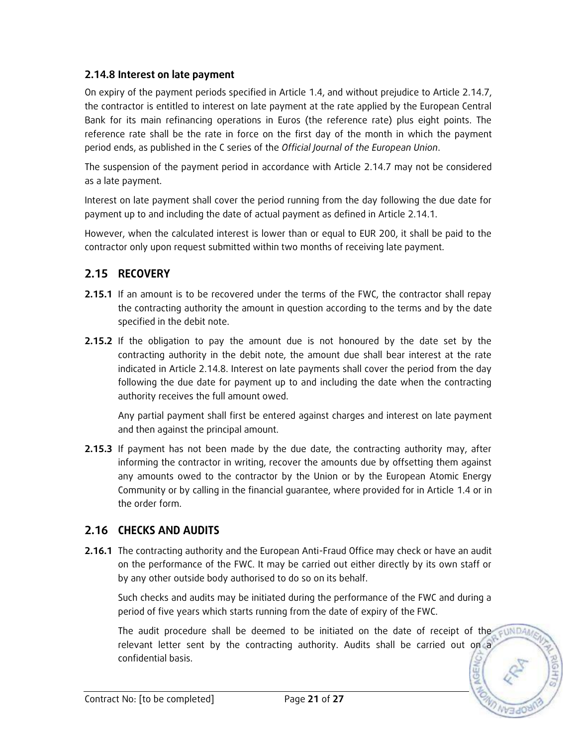### **2.14.8 Interest on late payment**

On expiry of the payment periods specified in Article 1.4, and without prejudice to Article 2.14.7, the contractor is entitled to interest on late payment at the rate applied by the European Central Bank for its main refinancing operations in Euros (the reference rate) plus eight points. The reference rate shall be the rate in force on the first day of the month in which the payment period ends, as published in the C series of the *Official Journal of the European Union*.

The suspension of the payment period in accordance with Article 2.14.7 may not be considered as a late payment.

Interest on late payment shall cover the period running from the day following the due date for payment up to and including the date of actual payment as defined in Article 2.14.1.

However, when the calculated interest is lower than or equal to EUR 200, it shall be paid to the contractor only upon request submitted within two months of receiving late payment.

# **2.15 RECOVERY**

- **2.15.1** If an amount is to be recovered under the terms of the FWC, the contractor shall repay the contracting authority the amount in question according to the terms and by the date specified in the debit note.
- **2.15.2** If the obligation to pay the amount due is not honoured by the date set by the contracting authority in the debit note, the amount due shall bear interest at the rate indicated in Article 2.14.8. Interest on late payments shall cover the period from the day following the due date for payment up to and including the date when the contracting authority receives the full amount owed.

Any partial payment shall first be entered against charges and interest on late payment and then against the principal amount.

**2.15.3** If payment has not been made by the due date, the contracting authority may, after informing the contractor in writing, recover the amounts due by offsetting them against any amounts owed to the contractor by the Union or by the European Atomic Energy Community or by calling in the financial guarantee, where provided for in Article 1.4 or in the order form.

# **2.16 CHECKS AND AUDITS**

**2.16.1** The contracting authority and the European Anti-Fraud Office may check or have an audit on the performance of the FWC. It may be carried out either directly by its own staff or by any other outside body authorised to do so on its behalf.

Such checks and audits may be initiated during the performance of the FWC and during a period of five years which starts running from the date of expiry of the FWC.

The audit procedure shall be deemed to be initiated on the date of receipt of the relevant letter sent by the contracting authority. Audits shall be carried out on a confidential basis.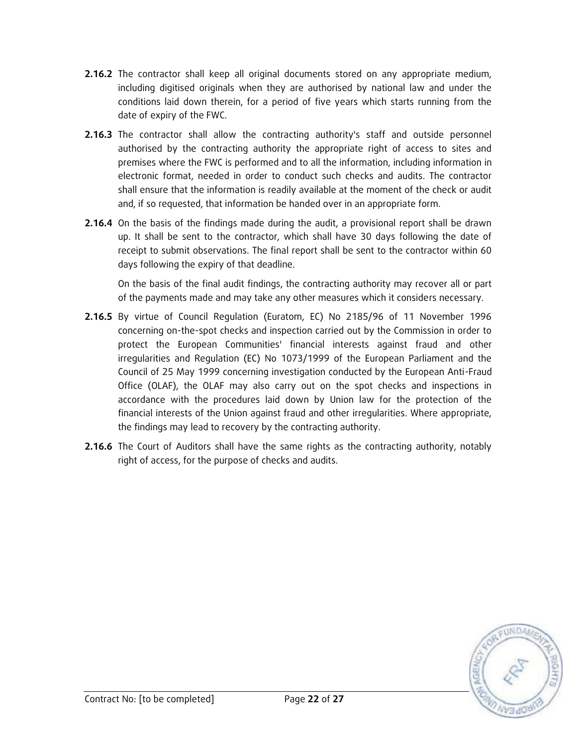- **2.16.2** The contractor shall keep all original documents stored on any appropriate medium, including digitised originals when they are authorised by national law and under the conditions laid down therein, for a period of five years which starts running from the date of expiry of the FWC.
- **2.16.3** The contractor shall allow the contracting authority's staff and outside personnel authorised by the contracting authority the appropriate right of access to sites and premises where the FWC is performed and to all the information, including information in electronic format, needed in order to conduct such checks and audits. The contractor shall ensure that the information is readily available at the moment of the check or audit and, if so requested, that information be handed over in an appropriate form.
- **2.16.4** On the basis of the findings made during the audit, a provisional report shall be drawn up. It shall be sent to the contractor, which shall have 30 days following the date of receipt to submit observations. The final report shall be sent to the contractor within 60 days following the expiry of that deadline.

On the basis of the final audit findings, the contracting authority may recover all or part of the payments made and may take any other measures which it considers necessary.

- **2.16.5** By virtue of Council Regulation (Euratom, EC) No 2185/96 of 11 November 1996 concerning on-the-spot checks and inspection carried out by the Commission in order to protect the European Communities' financial interests against fraud and other irregularities and Regulation (EC) No 1073/1999 of the European Parliament and the Council of 25 May 1999 concerning investigation conducted by the European Anti-Fraud Office (OLAF), the OLAF may also carry out on the spot checks and inspections in accordance with the procedures laid down by Union law for the protection of the financial interests of the Union against fraud and other irregularities. Where appropriate, the findings may lead to recovery by the contracting authority.
- **2.16.6** The Court of Auditors shall have the same rights as the contracting authority, notably right of access, for the purpose of checks and audits.

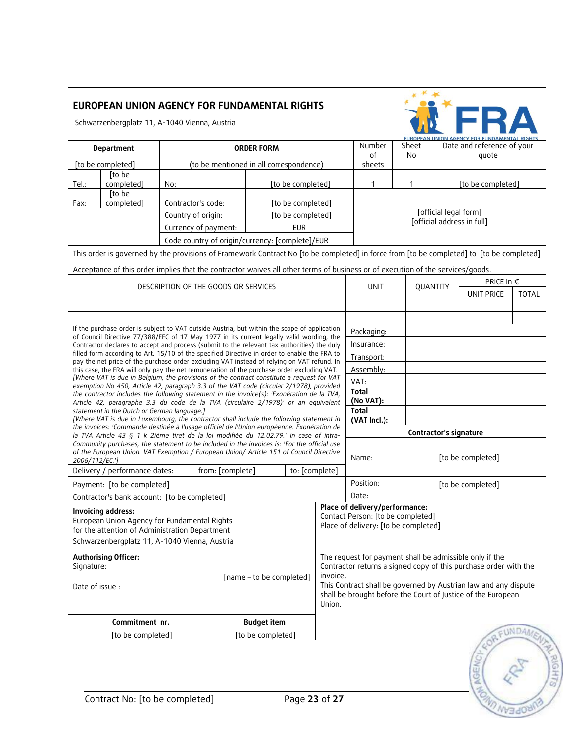| <b>EUROPEAN UNION AGENCY FOR FUNDAMENTAL RIGHTS</b> |  |
|-----------------------------------------------------|--|
| Schwarzenbergplatz 11, A-1040 Vienna, Austria       |  |



| Department                                                                                                                                                                                                                                                                                         |                                                                                                                                                                                            | <b>ORDER FORM</b>                       |                                                                  |                                                                                                                                                       | Number                               | Sheet                                       | Date and reference of your |                               |  |              |  |  |
|----------------------------------------------------------------------------------------------------------------------------------------------------------------------------------------------------------------------------------------------------------------------------------------------------|--------------------------------------------------------------------------------------------------------------------------------------------------------------------------------------------|-----------------------------------------|------------------------------------------------------------------|-------------------------------------------------------------------------------------------------------------------------------------------------------|--------------------------------------|---------------------------------------------|----------------------------|-------------------------------|--|--------------|--|--|
| [to be completed]                                                                                                                                                                                                                                                                                  |                                                                                                                                                                                            | (to be mentioned in all correspondence) |                                                                  |                                                                                                                                                       | οf<br>sheets                         | No                                          |                            | quote                         |  |              |  |  |
|                                                                                                                                                                                                                                                                                                    | [to be                                                                                                                                                                                     |                                         |                                                                  |                                                                                                                                                       |                                      |                                             |                            |                               |  |              |  |  |
| Tel.:                                                                                                                                                                                                                                                                                              | completed]                                                                                                                                                                                 | No:                                     |                                                                  | [to be completed]                                                                                                                                     |                                      | 1                                           | $\mathbf{1}$               | [to be completed]             |  |              |  |  |
| Fax:                                                                                                                                                                                                                                                                                               | [to be<br>completed]                                                                                                                                                                       | Contractor's code:                      |                                                                  | [to be completed]                                                                                                                                     |                                      |                                             |                            |                               |  |              |  |  |
|                                                                                                                                                                                                                                                                                                    |                                                                                                                                                                                            | Country of origin:                      |                                                                  | [to be completed]                                                                                                                                     |                                      |                                             | [official legal form]      |                               |  |              |  |  |
| Currency of payment:<br><b>EUR</b>                                                                                                                                                                                                                                                                 |                                                                                                                                                                                            |                                         |                                                                  |                                                                                                                                                       |                                      |                                             | [official address in full] |                               |  |              |  |  |
|                                                                                                                                                                                                                                                                                                    |                                                                                                                                                                                            |                                         |                                                                  | Code country of origin/currency: [complete]/EUR                                                                                                       |                                      |                                             |                            |                               |  |              |  |  |
|                                                                                                                                                                                                                                                                                                    | This order is governed by the provisions of Framework Contract No [to be completed] in force from [to be completed] to [to be completed]                                                   |                                         |                                                                  |                                                                                                                                                       |                                      |                                             |                            |                               |  |              |  |  |
|                                                                                                                                                                                                                                                                                                    | Acceptance of this order implies that the contractor waives all other terms of business or of execution of the services/goods.                                                             |                                         |                                                                  |                                                                                                                                                       |                                      |                                             |                            |                               |  |              |  |  |
|                                                                                                                                                                                                                                                                                                    |                                                                                                                                                                                            | DESCRIPTION OF THE GOODS OR SERVICES    |                                                                  |                                                                                                                                                       |                                      | <b>UNIT</b>                                 | PRICE in €                 |                               |  |              |  |  |
|                                                                                                                                                                                                                                                                                                    |                                                                                                                                                                                            |                                         |                                                                  |                                                                                                                                                       |                                      |                                             |                            | QUANTITY<br><b>UNIT PRICE</b> |  | <b>TOTAL</b> |  |  |
|                                                                                                                                                                                                                                                                                                    |                                                                                                                                                                                            |                                         |                                                                  |                                                                                                                                                       |                                      |                                             |                            |                               |  |              |  |  |
|                                                                                                                                                                                                                                                                                                    |                                                                                                                                                                                            |                                         |                                                                  |                                                                                                                                                       |                                      |                                             |                            |                               |  |              |  |  |
|                                                                                                                                                                                                                                                                                                    | If the purchase order is subject to VAT outside Austria, but within the scope of application<br>of Council Directive 77/388/EEC of 17 May 1977 in its current legally valid wording, the   |                                         |                                                                  |                                                                                                                                                       |                                      | Packaging:                                  |                            |                               |  |              |  |  |
|                                                                                                                                                                                                                                                                                                    | Contractor declares to accept and process (submit to the relevant tax authorities) the duly                                                                                                |                                         |                                                                  |                                                                                                                                                       |                                      | Insurance:                                  |                            |                               |  |              |  |  |
|                                                                                                                                                                                                                                                                                                    | filled form according to Art. 15/10 of the specified Directive in order to enable the FRA to<br>pay the net price of the purchase order excluding VAT instead of relying on VAT refund. In |                                         |                                                                  |                                                                                                                                                       |                                      | Transport:                                  |                            |                               |  |              |  |  |
|                                                                                                                                                                                                                                                                                                    | this case, the FRA will only pay the net remuneration of the purchase order excluding VAT.                                                                                                 |                                         |                                                                  |                                                                                                                                                       |                                      | Assembly:                                   |                            |                               |  |              |  |  |
|                                                                                                                                                                                                                                                                                                    | [Where VAT is due in Belgium, the provisions of the contract constitute a request for VAT<br>exemption No 450, Article 42, paragraph 3.3 of the VAT code (circular 2/1978), provided       |                                         |                                                                  |                                                                                                                                                       |                                      | VAT:                                        |                            |                               |  |              |  |  |
|                                                                                                                                                                                                                                                                                                    | the contractor includes the following statement in the invoice(s): 'Exonération de la TVA,                                                                                                 |                                         |                                                                  |                                                                                                                                                       |                                      | <b>Total</b>                                |                            |                               |  |              |  |  |
|                                                                                                                                                                                                                                                                                                    | Article 42, paragraphe 3.3 du code de la TVA (circulaire 2/1978)' or an equivalent<br>statement in the Dutch or German language.]                                                          |                                         |                                                                  |                                                                                                                                                       |                                      | (No VAT):<br><b>Total</b>                   |                            |                               |  |              |  |  |
|                                                                                                                                                                                                                                                                                                    | [Where VAT is due in Luxembourg, the contractor shall include the following statement in                                                                                                   |                                         |                                                                  |                                                                                                                                                       |                                      | (VAT Incl.):                                |                            |                               |  |              |  |  |
|                                                                                                                                                                                                                                                                                                    | the invoices: 'Commande destinée à l'usage officiel de l'Union européenne. Exonération de                                                                                                  |                                         |                                                                  |                                                                                                                                                       |                                      |                                             |                            |                               |  |              |  |  |
| la TVA Article 43 § 1 k 2ième tiret de la loi modifiée du 12.02.79.' In case of intra-<br>Community purchases, the statement to be included in the invoices is: 'For the official use<br>of the European Union. VAT Exemption / European Union/ Article 151 of Council Directive<br>2006/112/EC.'] |                                                                                                                                                                                            |                                         |                                                                  |                                                                                                                                                       | Name:                                | Contractor's signature<br>[to be completed] |                            |                               |  |              |  |  |
|                                                                                                                                                                                                                                                                                                    | Delivery / performance dates:                                                                                                                                                              |                                         | from: [complete]                                                 | to: [complete]                                                                                                                                        |                                      |                                             |                            |                               |  |              |  |  |
|                                                                                                                                                                                                                                                                                                    | Payment: [to be completed]                                                                                                                                                                 |                                         |                                                                  |                                                                                                                                                       |                                      | Position:                                   | [to be completed]          |                               |  |              |  |  |
|                                                                                                                                                                                                                                                                                                    | Contractor's bank account: [to be completed]                                                                                                                                               |                                         |                                                                  |                                                                                                                                                       |                                      | Date:                                       |                            |                               |  |              |  |  |
|                                                                                                                                                                                                                                                                                                    |                                                                                                                                                                                            |                                         |                                                                  |                                                                                                                                                       |                                      | Place of delivery/performance:              |                            |                               |  |              |  |  |
| Invoicing address:<br>European Union Agency for Fundamental Rights                                                                                                                                                                                                                                 |                                                                                                                                                                                            |                                         |                                                                  |                                                                                                                                                       | Contact Person: [to be completed]    |                                             |                            |                               |  |              |  |  |
| for the attention of Administration Department                                                                                                                                                                                                                                                     |                                                                                                                                                                                            |                                         |                                                                  |                                                                                                                                                       | Place of delivery: [to be completed] |                                             |                            |                               |  |              |  |  |
| Schwarzenbergplatz 11, A-1040 Vienna, Austria                                                                                                                                                                                                                                                      |                                                                                                                                                                                            |                                         |                                                                  |                                                                                                                                                       |                                      |                                             |                            |                               |  |              |  |  |
| <b>Authorising Officer:</b>                                                                                                                                                                                                                                                                        |                                                                                                                                                                                            |                                         |                                                                  | The request for payment shall be admissible only if the                                                                                               |                                      |                                             |                            |                               |  |              |  |  |
| Signature:                                                                                                                                                                                                                                                                                         |                                                                                                                                                                                            |                                         | Contractor returns a signed copy of this purchase order with the |                                                                                                                                                       |                                      |                                             |                            |                               |  |              |  |  |
| [name - to be completed]<br>Date of issue:                                                                                                                                                                                                                                                         |                                                                                                                                                                                            |                                         |                                                                  | invoice.<br>This Contract shall be governed by Austrian law and any dispute<br>shall be brought before the Court of Justice of the European<br>Union. |                                      |                                             |                            |                               |  |              |  |  |
| Commitment nr.                                                                                                                                                                                                                                                                                     |                                                                                                                                                                                            |                                         | <b>Budget item</b>                                               |                                                                                                                                                       |                                      |                                             |                            |                               |  |              |  |  |
| [to be completed]<br>[to be completed]                                                                                                                                                                                                                                                             |                                                                                                                                                                                            |                                         |                                                                  |                                                                                                                                                       |                                      |                                             |                            |                               |  |              |  |  |
|                                                                                                                                                                                                                                                                                                    |                                                                                                                                                                                            |                                         |                                                                  |                                                                                                                                                       |                                      |                                             |                            |                               |  |              |  |  |

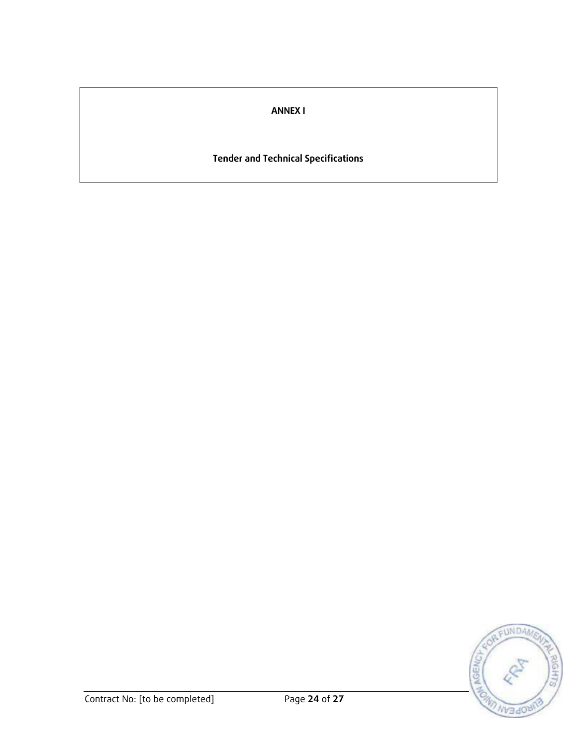# **ANNEX I**

# **Tender and Technical Specifications**

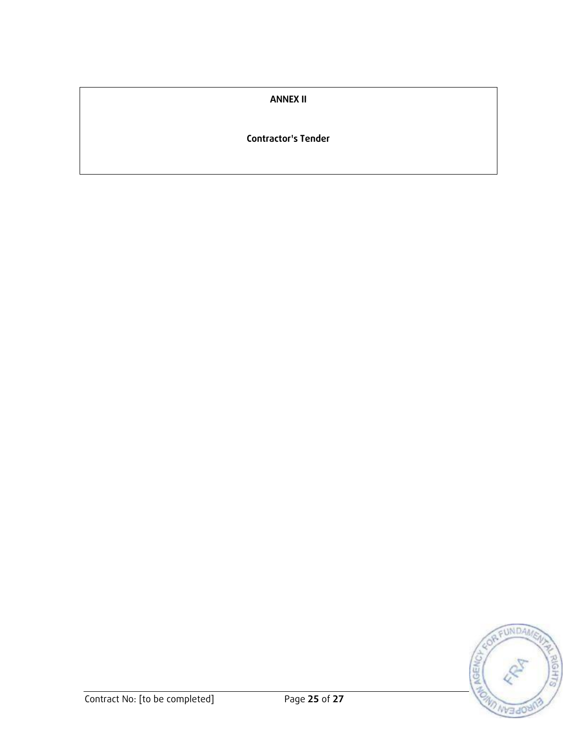### **ANNEX II**

#### **Contractor's Tender**

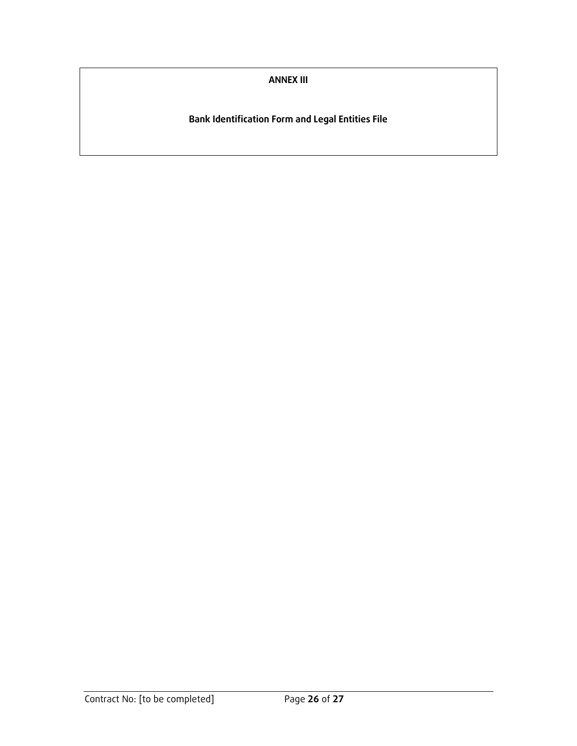**ANNEX III**

**Bank Identification Form and Legal Entities File**